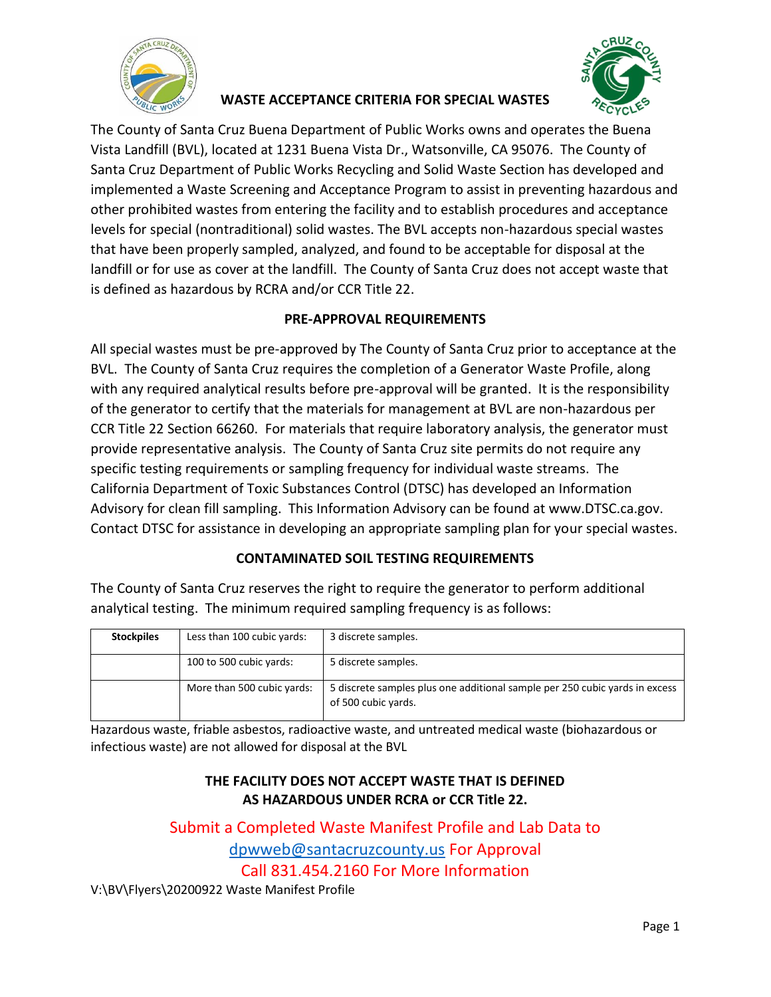

### **WASTE ACCEPTANCE CRITERIA FOR SPECIAL WASTES**



The County of Santa Cruz Buena Department of Public Works owns and operates the Buena Vista Landfill (BVL), located at 1231 Buena Vista Dr., Watsonville, CA 95076. The County of Santa Cruz Department of Public Works Recycling and Solid Waste Section has developed and implemented a Waste Screening and Acceptance Program to assist in preventing hazardous and other prohibited wastes from entering the facility and to establish procedures and acceptance levels for special (nontraditional) solid wastes. The BVL accepts non-hazardous special wastes that have been properly sampled, analyzed, and found to be acceptable for disposal at the landfill or for use as cover at the landfill. The County of Santa Cruz does not accept waste that is defined as hazardous by RCRA and/or CCR Title 22.

# **PRE-APPROVAL REQUIREMENTS**

All special wastes must be pre-approved by The County of Santa Cruz prior to acceptance at the BVL. The County of Santa Cruz requires the completion of a Generator Waste Profile, along with any required analytical results before pre-approval will be granted. It is the responsibility of the generator to certify that the materials for management at BVL are non-hazardous per CCR Title 22 Section 66260. For materials that require laboratory analysis, the generator must provide representative analysis. The County of Santa Cruz site permits do not require any specific testing requirements or sampling frequency for individual waste streams. The California Department of Toxic Substances Control (DTSC) has developed an Information Advisory for clean fill sampling. This Information Advisory can be found at www.DTSC.ca.gov. Contact DTSC for assistance in developing an appropriate sampling plan for your special wastes.

# **CONTAMINATED SOIL TESTING REQUIREMENTS**

The County of Santa Cruz reserves the right to require the generator to perform additional analytical testing. The minimum required sampling frequency is as follows:

| <b>Stockpiles</b> | Less than 100 cubic yards: | 3 discrete samples.                                                                                |
|-------------------|----------------------------|----------------------------------------------------------------------------------------------------|
|                   | 100 to 500 cubic yards:    | 5 discrete samples.                                                                                |
|                   | More than 500 cubic yards: | 5 discrete samples plus one additional sample per 250 cubic yards in excess<br>of 500 cubic vards. |

Hazardous waste, friable asbestos, radioactive waste, and untreated medical waste (biohazardous or infectious waste) are not allowed for disposal at the BVL

#### **THE FACILITY DOES NOT ACCEPT WASTE THAT IS DEFINED AS HAZARDOUS UNDER RCRA or CCR Title 22.**

Submit a Completed Waste Manifest Profile and Lab Data to [dpwweb@santacruzcounty.us](mailto:dpwweb@santacruzcounty.us) For Approval Call 831.454.2160 For More Information V:\BV\Flyers\20200922 Waste Manifest Profile